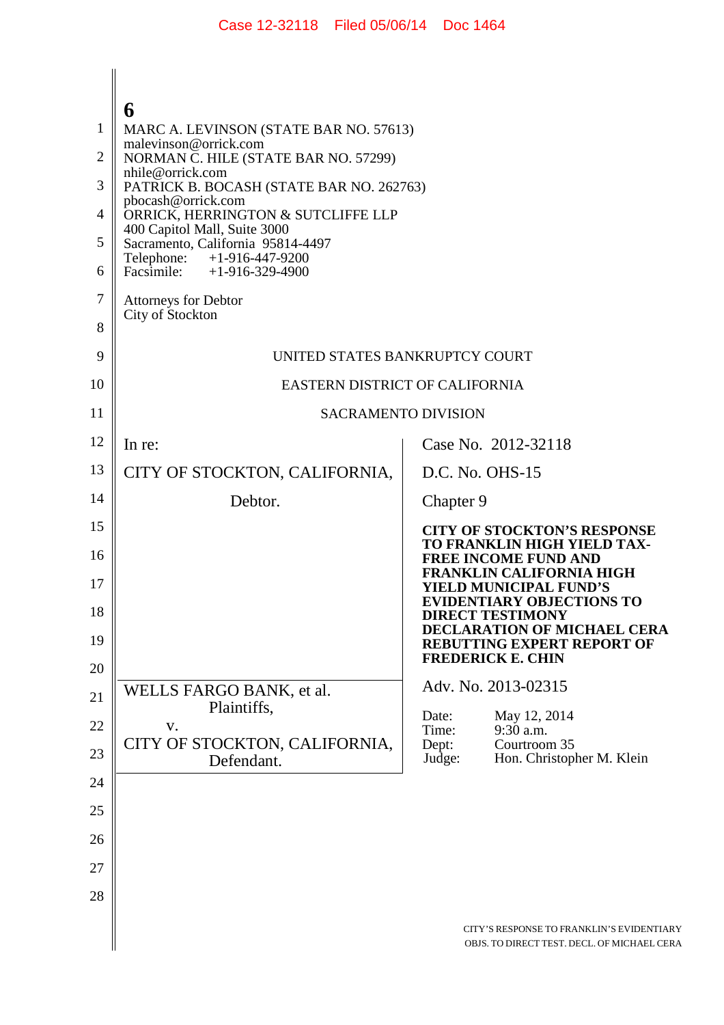|                | 6                                                                                                                             |                                                                                              |  |
|----------------|-------------------------------------------------------------------------------------------------------------------------------|----------------------------------------------------------------------------------------------|--|
| 1              | MARC A. LEVINSON (STATE BAR NO. 57613)                                                                                        |                                                                                              |  |
| $\overline{2}$ | malevinson@orrick.com<br>NORMAN C. HILE (STATE BAR NO. 57299)                                                                 |                                                                                              |  |
| 3              | nhile@orrick.com<br>PATRICK B. BOCASH (STATE BAR NO. 262763)                                                                  |                                                                                              |  |
| 4              | pbocash@orrick.com<br>ORRICK, HERRINGTON & SUTCLIFFE LLP<br>400 Capitol Mall, Suite 3000<br>Sacramento, California 95814-4497 |                                                                                              |  |
| 5              |                                                                                                                               |                                                                                              |  |
| 6              | Telephone: +1-916-447-9200<br>Facsimile: $+1-916-329-4900$                                                                    |                                                                                              |  |
| 7              | <b>Attorneys for Debtor</b>                                                                                                   |                                                                                              |  |
| 8              | City of Stockton                                                                                                              |                                                                                              |  |
| 9              | UNITED STATES BANKRUPTCY COURT                                                                                                |                                                                                              |  |
| 10             | EASTERN DISTRICT OF CALIFORNIA                                                                                                |                                                                                              |  |
| 11             | <b>SACRAMENTO DIVISION</b>                                                                                                    |                                                                                              |  |
| 12             | In re:                                                                                                                        | Case No. 2012-32118                                                                          |  |
| 13             | CITY OF STOCKTON, CALIFORNIA,                                                                                                 | D.C. No. OHS-15                                                                              |  |
| 14             | Debtor.                                                                                                                       | Chapter 9                                                                                    |  |
| 15             |                                                                                                                               | <b>CITY OF STOCKTON'S RESPONSE</b><br>TO FRANKLIN HIGH YIELD TAX-                            |  |
| 16<br>17       |                                                                                                                               | <b>FREE INCOME FUND AND</b><br><b>FRANKLIN CALIFORNIA HIGH</b><br>YIELD MUNICIPAL FUND'S     |  |
| 18             |                                                                                                                               | <b>EVIDENTIARY OBJECTIONS TO</b><br><b>DIRECT TESTIMONY</b>                                  |  |
| 19             |                                                                                                                               | DECLARATION OF MICHAEL CERA<br><b>REBUTTING EXPERT REPORT OF</b><br><b>FREDERICK E. CHIN</b> |  |
| 20             |                                                                                                                               | Adv. No. 2013-02315                                                                          |  |
| 21             | WELLS FARGO BANK, et al.<br>Plaintiffs,                                                                                       | May 12, 2014<br>Date:                                                                        |  |
| 22             | V.<br>CITY OF STOCKTON, CALIFORNIA,                                                                                           | Time:<br>9:30 a.m.<br>Dept:<br>Courtroom 35                                                  |  |
| 23             | Defendant.                                                                                                                    | Judge:<br>Hon. Christopher M. Klein                                                          |  |
| 24             |                                                                                                                               |                                                                                              |  |
| 25             |                                                                                                                               |                                                                                              |  |
| 26             |                                                                                                                               |                                                                                              |  |
| 27             |                                                                                                                               |                                                                                              |  |
| 28             |                                                                                                                               |                                                                                              |  |
|                |                                                                                                                               | CITY'S RESPONSE TO FRANKLIN'S EVIDENTIARY<br>OBJS. TO DIRECT TEST. DECL. OF MICHAEL CERA     |  |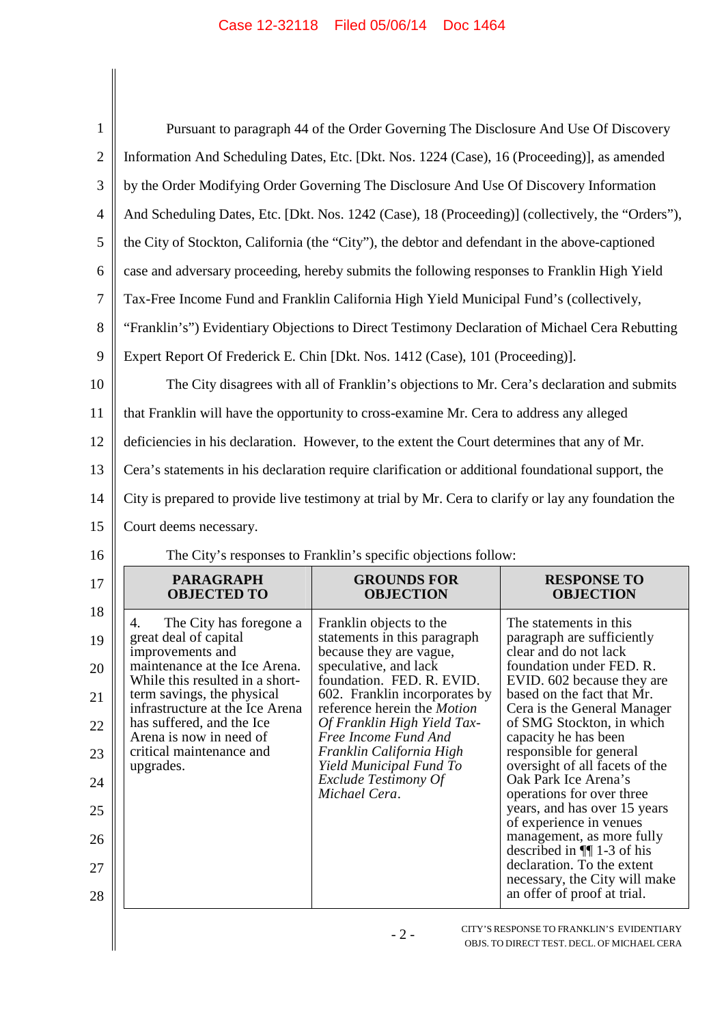| $\mathbf{1}$   | Pursuant to paragraph 44 of the Order Governing The Disclosure And Use Of Discovery                  |                                                                |                                                                                            |  |
|----------------|------------------------------------------------------------------------------------------------------|----------------------------------------------------------------|--------------------------------------------------------------------------------------------|--|
| $\overline{2}$ | Information And Scheduling Dates, Etc. [Dkt. Nos. 1224 (Case), 16 (Proceeding)], as amended          |                                                                |                                                                                            |  |
| 3              | by the Order Modifying Order Governing The Disclosure And Use Of Discovery Information               |                                                                |                                                                                            |  |
| 4              | And Scheduling Dates, Etc. [Dkt. Nos. 1242 (Case), 18 (Proceeding)] (collectively, the "Orders"),    |                                                                |                                                                                            |  |
| 5              | the City of Stockton, California (the "City"), the debtor and defendant in the above-captioned       |                                                                |                                                                                            |  |
| 6              | case and adversary proceeding, hereby submits the following responses to Franklin High Yield         |                                                                |                                                                                            |  |
| 7              | Tax-Free Income Fund and Franklin California High Yield Municipal Fund's (collectively,              |                                                                |                                                                                            |  |
| 8              | "Franklin's") Evidentiary Objections to Direct Testimony Declaration of Michael Cera Rebutting       |                                                                |                                                                                            |  |
| 9              | Expert Report Of Frederick E. Chin [Dkt. Nos. 1412 (Case), 101 (Proceeding)].                        |                                                                |                                                                                            |  |
| 10             | The City disagrees with all of Franklin's objections to Mr. Cera's declaration and submits           |                                                                |                                                                                            |  |
| 11             | that Franklin will have the opportunity to cross-examine Mr. Cera to address any alleged             |                                                                |                                                                                            |  |
| 12             | deficiencies in his declaration. However, to the extent the Court determines that any of Mr.         |                                                                |                                                                                            |  |
| 13             | Cera's statements in his declaration require clarification or additional foundational support, the   |                                                                |                                                                                            |  |
| 14             | City is prepared to provide live testimony at trial by Mr. Cera to clarify or lay any foundation the |                                                                |                                                                                            |  |
|                | Court deems necessary.                                                                               |                                                                |                                                                                            |  |
| 15             |                                                                                                      |                                                                |                                                                                            |  |
| 16             |                                                                                                      | The City's responses to Franklin's specific objections follow: |                                                                                            |  |
| 17             | <b>PARAGRAPH</b><br><b>OBJECTED TO</b>                                                               | <b>GROUNDS FOR</b><br><b>OBJECTION</b>                         | <b>RESPONSE TO</b><br>OBJECTION                                                            |  |
| 18             | The City has foregone a<br>4.                                                                        | Franklin objects to the                                        | The statements in this                                                                     |  |
| 19             | great deal of capital<br>improvements and                                                            | statements in this paragraph<br>because they are vague,        | paragraph are sufficiently<br>clear and do not lack                                        |  |
| 20             | maintenance at the Ice Arena.<br>While this resulted in a short-                                     | speculative, and lack<br>foundation. FED. R. EVID.             | foundation under FED. R.<br>EVID. 602 because they are                                     |  |
| 21             | term savings, the physical<br>infrastructure at the Ice Arena                                        | 602. Franklin incorporates by<br>reference herein the Motion   | based on the fact that Mr.<br>Cera is the General Manager                                  |  |
| 22             | has suffered, and the Ice<br>Arena is now in need of                                                 | Of Franklin High Yield Tax-<br>Free Income Fund And            | of SMG Stockton, in which<br>capacity he has been                                          |  |
| 23             | critical maintenance and<br>upgrades.                                                                | Franklin California High<br>Yield Municipal Fund To            | responsible for general<br>oversight of all facets of the                                  |  |
| 24             |                                                                                                      | Exclude Testimony Of<br>Michael Cera.                          | Oak Park Ice Arena's<br>operations for over three                                          |  |
| 25             |                                                                                                      |                                                                | years, and has over 15 years<br>of experience in venues                                    |  |
| 26             |                                                                                                      |                                                                | management, as more fully<br>described in $\P$ 1-3 of his                                  |  |
| 27<br>28       |                                                                                                      |                                                                | declaration. To the extent<br>necessary, the City will make<br>an offer of proof at trial. |  |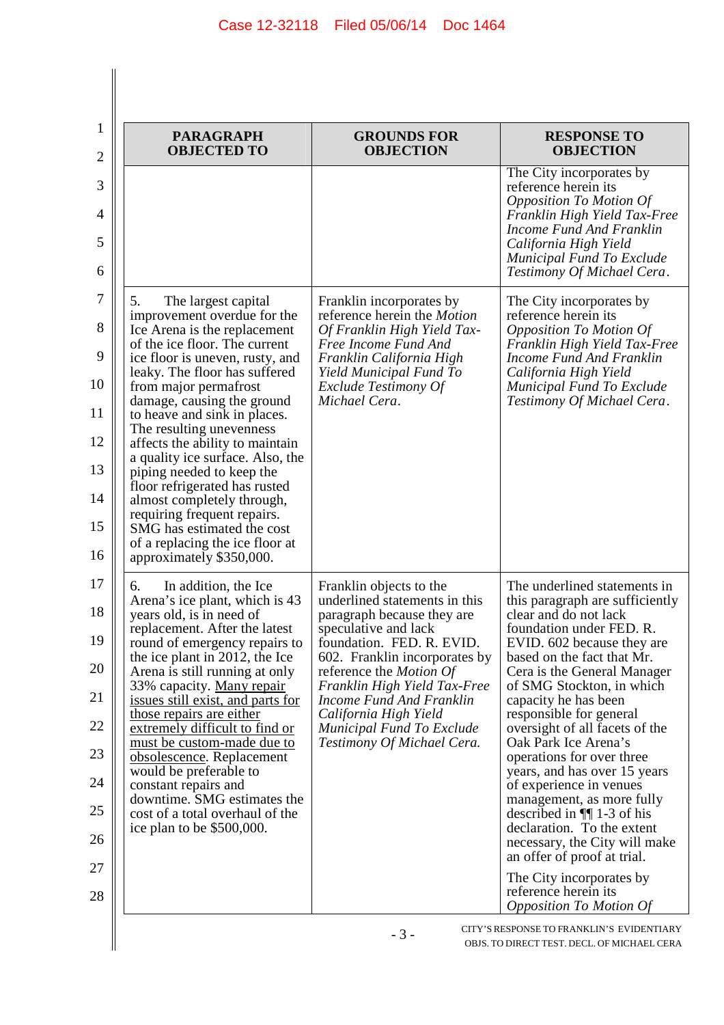| <b>PARAGRAPH</b><br><b>OBJECTED TO</b>                                                                                                                                                                                                                                                                                                                                                                                                                                                                                                                                                                          | <b>GROUNDS FOR</b><br><b>OBJECTION</b>                                                                                                                                                                                                                                                                                                                         | <b>RESPONSE TO</b><br><b>OBJECTION</b>                                                                                                                                                                                                                                                                                                                                                                                                                                                                                                                                                                                                                                                      |
|-----------------------------------------------------------------------------------------------------------------------------------------------------------------------------------------------------------------------------------------------------------------------------------------------------------------------------------------------------------------------------------------------------------------------------------------------------------------------------------------------------------------------------------------------------------------------------------------------------------------|----------------------------------------------------------------------------------------------------------------------------------------------------------------------------------------------------------------------------------------------------------------------------------------------------------------------------------------------------------------|---------------------------------------------------------------------------------------------------------------------------------------------------------------------------------------------------------------------------------------------------------------------------------------------------------------------------------------------------------------------------------------------------------------------------------------------------------------------------------------------------------------------------------------------------------------------------------------------------------------------------------------------------------------------------------------------|
|                                                                                                                                                                                                                                                                                                                                                                                                                                                                                                                                                                                                                 |                                                                                                                                                                                                                                                                                                                                                                | The City incorporates by<br>reference herein its<br><b>Opposition To Motion Of</b><br>Franklin High Yield Tax-Free<br>Income Fund And Franklin<br>California High Yield<br>Municipal Fund To Exclude<br>Testimony Of Michael Cera.                                                                                                                                                                                                                                                                                                                                                                                                                                                          |
| 5.<br>The largest capital<br>improvement overdue for the<br>Ice Arena is the replacement<br>of the ice floor. The current<br>ice floor is uneven, rusty, and<br>leaky. The floor has suffered<br>from major permafrost<br>damage, causing the ground<br>to heave and sink in places.<br>The resulting unevenness<br>affects the ability to maintain<br>a quality ice surface. Also, the<br>piping needed to keep the<br>floor refrigerated has rusted<br>almost completely through,<br>requiring frequent repairs.<br>SMG has estimated the cost<br>of a replacing the ice floor at<br>approximately \$350,000. | Franklin incorporates by<br>reference herein the Motion<br>Of Franklin High Yield Tax-<br>Free Income Fund And<br>Franklin California High<br>Yield Municipal Fund To<br>Exclude Testimony Of<br>Michael Cera.                                                                                                                                                 | The City incorporates by<br>reference herein its<br><b>Opposition To Motion Of</b><br>Franklin High Yield Tax-Free<br>Income Fund And Franklin<br>California High Yield<br>Municipal Fund To Exclude<br>Testimony Of Michael Cera.                                                                                                                                                                                                                                                                                                                                                                                                                                                          |
| In addition, the Ice<br>6.<br>Arena's ice plant, which is 43<br>years old, is in need of<br>replacement. After the latest<br>round of emergency repairs to<br>the ice plant in 2012, the Ice<br>Arena is still running at only<br>33% capacity. Many repair<br>issues still exist, and parts for<br>those repairs are either<br>extremely difficult to find or<br>must be custom-made due to<br>obsolescence. Replacement<br>would be preferable to<br>constant repairs and<br>downtime. SMG estimates the<br>cost of a total overhaul of the<br>ice plan to be \$500,000.                                      | Franklin objects to the<br>underlined statements in this<br>paragraph because they are<br>speculative and lack<br>foundation. FED. R. EVID.<br>602. Franklin incorporates by<br>reference the <i>Motion Of</i><br>Franklin High Yield Tax-Free<br>Income Fund And Franklin<br>California High Yield<br>Municipal Fund To Exclude<br>Testimony Of Michael Cera. | The underlined statements in<br>this paragraph are sufficiently<br>clear and do not lack<br>foundation under FED. R.<br>EVID. 602 because they are<br>based on the fact that Mr.<br>Cera is the General Manager<br>of SMG Stockton, in which<br>capacity he has been<br>responsible for general<br>oversight of all facets of the<br>Oak Park Ice Arena's<br>operations for over three<br>years, and has over 15 years<br>of experience in venues<br>management, as more fully<br>described in $\P$ 1-3 of his<br>declaration. To the extent<br>necessary, the City will make<br>an offer of proof at trial.<br>The City incorporates by<br>reference herein its<br>Opposition To Motion Of |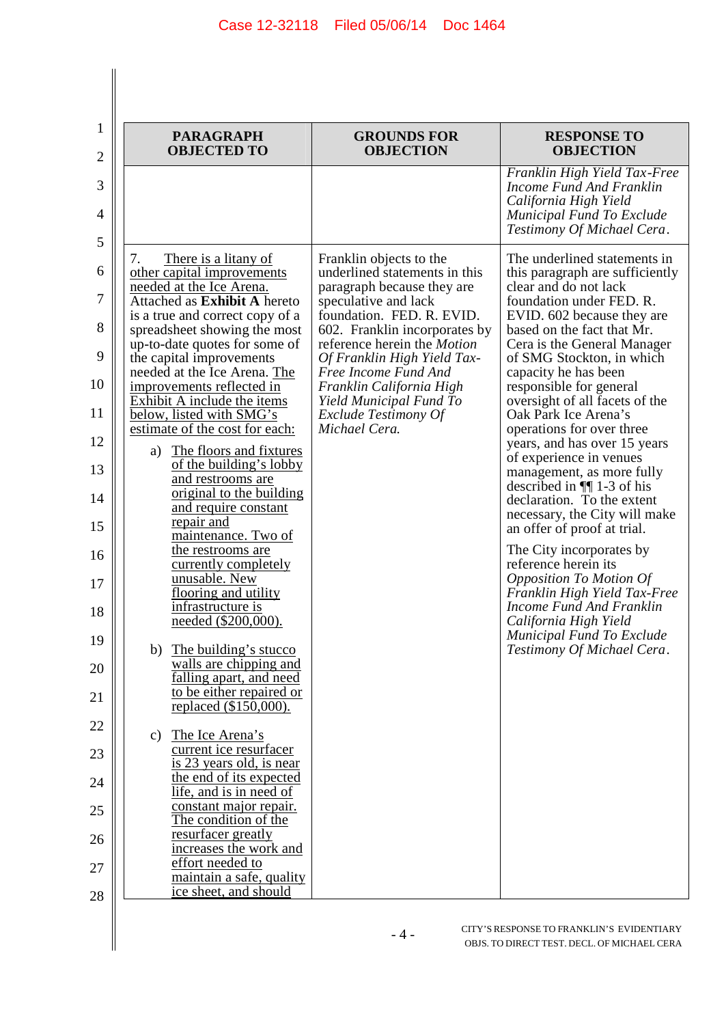| <b>PARAGRAPH</b><br><b>OBJECTED TO</b>                                                                                                                                                                                                                                                                                                                                                                                                                                                                                                                                                                                                                                                                                                                                                                                                                                                                                                                                                                                                                                                                                                                                                         | <b>GROUNDS FOR</b><br><b>OBJECTION</b>                                                                                                                                                                                                                                                                                                                             | <b>RESPONSE TO</b><br><b>OBJECTION</b>                                                                                                                                                                                                                                                                                                                                                                                                                                                                                                                                                                                                                                                                                                                                                                                                             |
|------------------------------------------------------------------------------------------------------------------------------------------------------------------------------------------------------------------------------------------------------------------------------------------------------------------------------------------------------------------------------------------------------------------------------------------------------------------------------------------------------------------------------------------------------------------------------------------------------------------------------------------------------------------------------------------------------------------------------------------------------------------------------------------------------------------------------------------------------------------------------------------------------------------------------------------------------------------------------------------------------------------------------------------------------------------------------------------------------------------------------------------------------------------------------------------------|--------------------------------------------------------------------------------------------------------------------------------------------------------------------------------------------------------------------------------------------------------------------------------------------------------------------------------------------------------------------|----------------------------------------------------------------------------------------------------------------------------------------------------------------------------------------------------------------------------------------------------------------------------------------------------------------------------------------------------------------------------------------------------------------------------------------------------------------------------------------------------------------------------------------------------------------------------------------------------------------------------------------------------------------------------------------------------------------------------------------------------------------------------------------------------------------------------------------------------|
|                                                                                                                                                                                                                                                                                                                                                                                                                                                                                                                                                                                                                                                                                                                                                                                                                                                                                                                                                                                                                                                                                                                                                                                                |                                                                                                                                                                                                                                                                                                                                                                    | Franklin High Yield Tax-Free<br>Income Fund And Franklin<br>California High Yield<br>Municipal Fund To Exclude<br>Testimony Of Michael Cera.                                                                                                                                                                                                                                                                                                                                                                                                                                                                                                                                                                                                                                                                                                       |
| There is a litany of<br>7.<br>other capital improvements<br>needed at the Ice Arena.<br>Attached as Exhibit A hereto<br>is a true and correct copy of a<br>spreadsheet showing the most<br>up-to-date quotes for some of<br>the capital improvements<br>needed at the Ice Arena. The<br>improvements reflected in<br>Exhibit A include the items<br>below, listed with SMG's<br>estimate of the cost for each:<br>The floors and fixtures<br>a)<br>of the building's lobby<br>and restrooms are<br>original to the building<br>and require constant<br>repair and<br>maintenance. Two of<br>the restrooms are<br>currently completely<br>unusable. New<br>flooring and utility<br>infrastructure is<br>needed (\$200,000).<br>The building's stucco<br>b)<br>walls are chipping and<br>falling apart, and need<br>to be either repaired or<br>replaced (\$150,000).<br>The Ice Arena's<br>$\mathbf{c})$<br>current ice resurfacer<br>is 23 years old, is near<br>the end of its expected<br>life, and is in need of<br>constant major repair.<br>The condition of the<br>resurfacer greatly<br>increases the work and<br>effort needed to<br>maintain a safe, quality<br>ice sheet, and should | Franklin objects to the<br>underlined statements in this<br>paragraph because they are<br>speculative and lack<br>foundation. FED. R. EVID.<br>602. Franklin incorporates by<br>reference herein the Motion<br>Of Franklin High Yield Tax-<br>Free Income Fund And<br>Franklin California High<br>Yield Municipal Fund To<br>Exclude Testimony Of<br>Michael Cera. | The underlined statements in<br>this paragraph are sufficiently<br>clear and do not lack<br>foundation under FED. R.<br>EVID. 602 because they are<br>based on the fact that Mr.<br>Cera is the General Manager<br>of SMG Stockton, in which<br>capacity he has been<br>responsible for general<br>oversight of all facets of the<br>Oak Park Ice Arena's<br>operations for over three<br>years, and has over 15 years<br>of experience in venues<br>management, as more fully<br>described in $\P$ 1-3 of his<br>declaration. To the extent<br>necessary, the City will make<br>an offer of proof at trial.<br>The City incorporates by<br>reference herein its<br><b>Opposition To Motion Of</b><br>Franklin High Yield Tax-Free<br>Income Fund And Franklin<br>California High Yield<br>Municipal Fund To Exclude<br>Testimony Of Michael Cera. |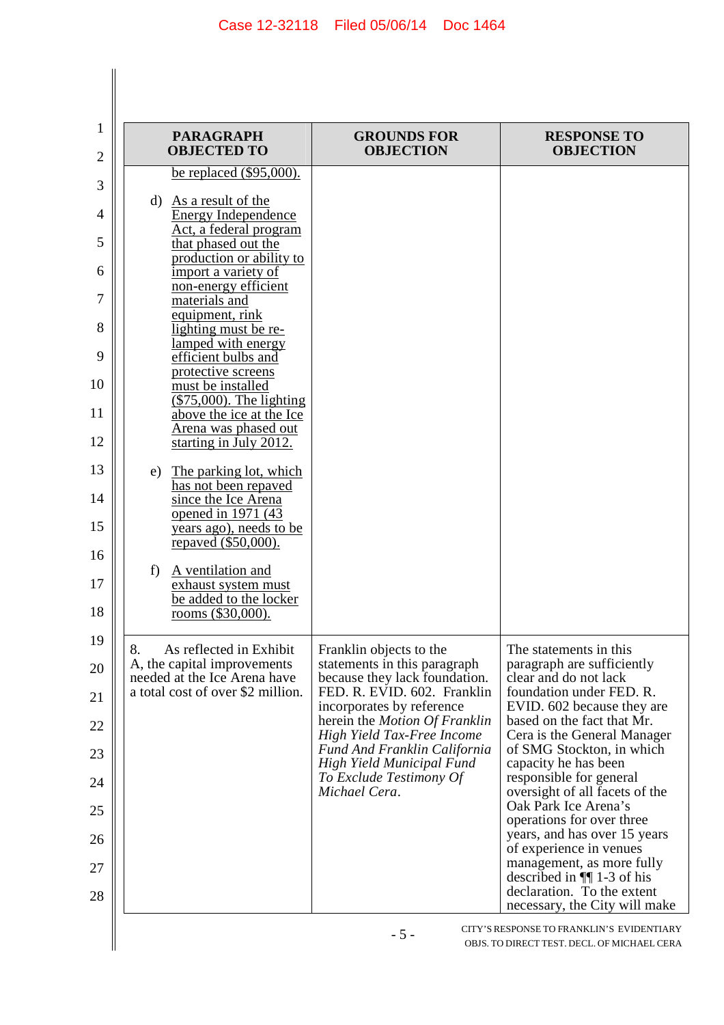| <b>PARAGRAPH</b><br><b>OBJECTED TO</b>                                                                                                                                                                                                                                                                                                                                                                                                                                                                                                                                                                                                                                                                                               | <b>GROUNDS FOR</b><br><b>OBJECTION</b>                                                                                                                                                                                                                                                                                              | <b>RESPONSE TO</b><br><b>OBJECTION</b>                                                                                                                                                                                                                                                                                                                                                                                                                                                                                                                              |
|--------------------------------------------------------------------------------------------------------------------------------------------------------------------------------------------------------------------------------------------------------------------------------------------------------------------------------------------------------------------------------------------------------------------------------------------------------------------------------------------------------------------------------------------------------------------------------------------------------------------------------------------------------------------------------------------------------------------------------------|-------------------------------------------------------------------------------------------------------------------------------------------------------------------------------------------------------------------------------------------------------------------------------------------------------------------------------------|---------------------------------------------------------------------------------------------------------------------------------------------------------------------------------------------------------------------------------------------------------------------------------------------------------------------------------------------------------------------------------------------------------------------------------------------------------------------------------------------------------------------------------------------------------------------|
| be replaced $(\$95,000)$ .<br>d) As a result of the<br><b>Energy Independence</b><br>Act, a federal program<br>that phased out the<br>production or ability to<br>import a variety of<br>non-energy efficient<br>materials and<br>equipment, rink<br>lighting must be re-<br>lamped with energy<br>efficient bulbs and<br>protective screens<br>must be installed<br>$($75,000)$ . The lighting<br>above the ice at the Ice<br>Arena was phased out<br>starting in July 2012.<br>The parking lot, which<br>e)<br>has not been repaved<br>since the Ice Arena<br>opened in 1971 (43<br>years ago), needs to be<br>repaved (\$50,000).<br>A ventilation and<br>f<br>exhaust system must<br>be added to the locker<br>rooms (\$30,000). |                                                                                                                                                                                                                                                                                                                                     |                                                                                                                                                                                                                                                                                                                                                                                                                                                                                                                                                                     |
| As reflected in Exhibit<br>8.<br>A, the capital improvements<br>needed at the Ice Arena have<br>a total cost of over \$2 million.                                                                                                                                                                                                                                                                                                                                                                                                                                                                                                                                                                                                    | Franklin objects to the<br>statements in this paragraph<br>because they lack foundation.<br>FED. R. EVID. 602. Franklin<br>incorporates by reference<br>herein the Motion Of Franklin<br>High Yield Tax-Free Income<br><b>Fund And Franklin California</b><br>High Yield Municipal Fund<br>To Exclude Testimony Of<br>Michael Cera. | The statements in this.<br>paragraph are sufficiently<br>clear and do not lack<br>foundation under FED. R.<br>EVID. 602 because they are<br>based on the fact that Mr.<br>Cera is the General Manager<br>of SMG Stockton, in which<br>capacity he has been<br>responsible for general<br>oversight of all facets of the<br>Oak Park Ice Arena's<br>operations for over three<br>years, and has over 15 years<br>of experience in venues<br>management, as more fully<br>described in $\P$ 1-3 of his<br>declaration. To the extent<br>necessary, the City will make |